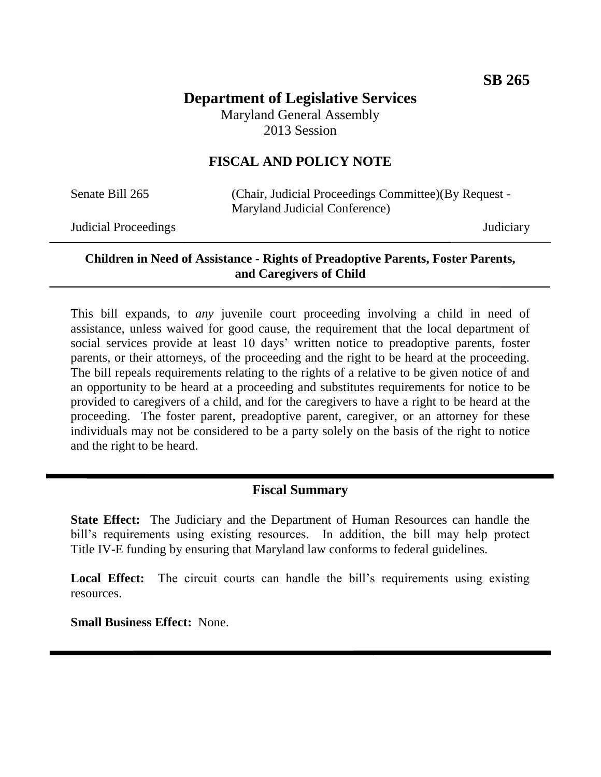# **Department of Legislative Services** Maryland General Assembly 2013 Session

# **FISCAL AND POLICY NOTE**

Senate Bill 265 (Chair, Judicial Proceedings Committee)(By Request -Maryland Judicial Conference)

Judicial Proceedings Judiciary

### **Children in Need of Assistance - Rights of Preadoptive Parents, Foster Parents, and Caregivers of Child**

This bill expands, to *any* juvenile court proceeding involving a child in need of assistance, unless waived for good cause, the requirement that the local department of social services provide at least 10 days' written notice to preadoptive parents, foster parents, or their attorneys, of the proceeding and the right to be heard at the proceeding. The bill repeals requirements relating to the rights of a relative to be given notice of and an opportunity to be heard at a proceeding and substitutes requirements for notice to be provided to caregivers of a child, and for the caregivers to have a right to be heard at the proceeding. The foster parent, preadoptive parent, caregiver, or an attorney for these individuals may not be considered to be a party solely on the basis of the right to notice and the right to be heard.

# **Fiscal Summary**

**State Effect:** The Judiciary and the Department of Human Resources can handle the bill's requirements using existing resources. In addition, the bill may help protect Title IV-E funding by ensuring that Maryland law conforms to federal guidelines.

Local Effect: The circuit courts can handle the bill's requirements using existing resources.

**Small Business Effect:** None.